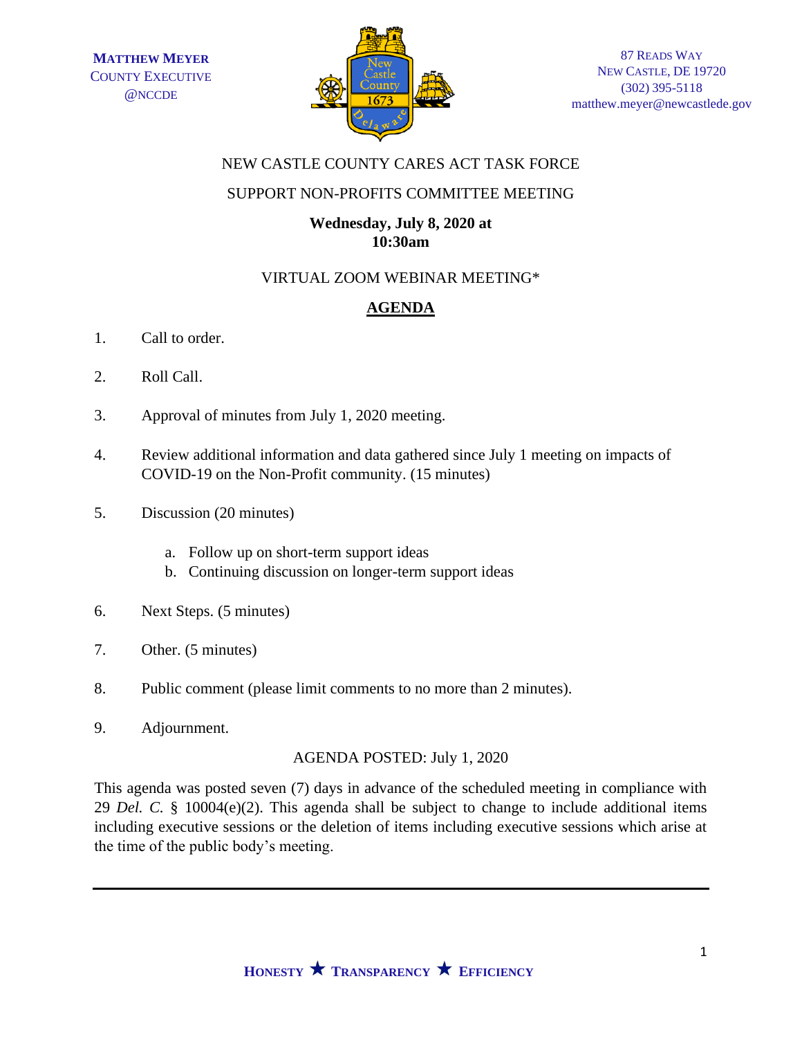

## NEW CASTLE COUNTY CARES ACT TASK FORCE

#### SUPPORT NON-PROFITS COMMITTEE MEETING

#### **Wednesday, July 8, 2020 at 10:30am**

## VIRTUAL ZOOM WEBINAR MEETING\*

# **AGENDA**

- 1. Call to order.
- 2. Roll Call.
- 3. Approval of minutes from July 1, 2020 meeting.
- 4. Review additional information and data gathered since July 1 meeting on impacts of COVID-19 on the Non-Profit community. (15 minutes)
- 5. Discussion (20 minutes)
	- a. Follow up on short-term support ideas
	- b. Continuing discussion on longer-term support ideas
- 6. Next Steps. (5 minutes)
- 7. Other. (5 minutes)
- 8. Public comment (please limit comments to no more than 2 minutes).
- 9. Adjournment.

## AGENDA POSTED: July 1, 2020

This agenda was posted seven (7) days in advance of the scheduled meeting in compliance with 29 *Del. C.* § 10004(e)(2). This agenda shall be subject to change to include additional items including executive sessions or the deletion of items including executive sessions which arise at the time of the public body's meeting.